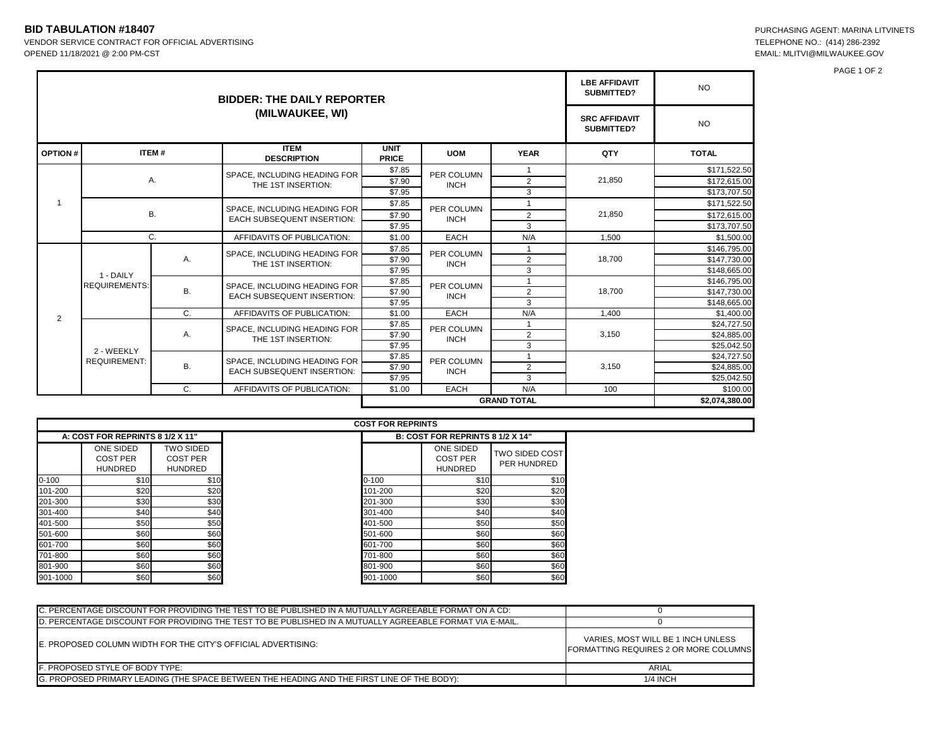## **BID TABULATION #18407**<br>
VENDOR SERVICE CONTRACT FOR OFFICIAL ADVERTISING<br>
TELEPHONE NO.: (414) 286-2392 VENDOR SERVICE CONTRACT FOR OFFICIAL ADVERTISING

OPENED 11/18/2021 @ 2:00 PM-CST EMAIL: MLITVI@MILWAUKEE.GOV

PAGE 1 OF 2

|                |                                   | <b>LBE AFFIDAVIT</b><br>SUBMITTED? | <b>NO</b>                                                         |                             |                           |                |        |                |
|----------------|-----------------------------------|------------------------------------|-------------------------------------------------------------------|-----------------------------|---------------------------|----------------|--------|----------------|
|                |                                   | <b>SRC AFFIDAVIT</b><br>SUBMITTED? | <b>NO</b>                                                         |                             |                           |                |        |                |
| <b>OPTION#</b> | ITEM#                             |                                    | <b>ITEM</b><br><b>DESCRIPTION</b>                                 | <b>UNIT</b><br><b>PRICE</b> | <b>UOM</b>                | <b>YEAR</b>    | QTY    | <b>TOTAL</b>   |
|                | Α.                                |                                    | SPACE. INCLUDING HEADING FOR<br>THE 1ST INSERTION:                | \$7.85                      | PER COLUMN<br><b>INCH</b> |                | 21.850 | \$171,522.50   |
|                |                                   |                                    |                                                                   | \$7.90                      |                           | $\overline{2}$ |        | \$172,615.00   |
|                |                                   |                                    |                                                                   | \$7.95                      |                           | 3              |        | \$173,707.50   |
|                | <b>B.</b>                         |                                    | SPACE, INCLUDING HEADING FOR<br><b>EACH SUBSEQUENT INSERTION:</b> | \$7.85                      | PER COLUMN<br><b>INCH</b> |                | 21,850 | \$171,522.50   |
|                |                                   |                                    |                                                                   | \$7.90                      |                           | $\overline{2}$ |        | \$172,615.00   |
|                |                                   |                                    |                                                                   | \$7.95                      |                           | 3              |        | \$173.707.50   |
|                | C.                                |                                    | AFFIDAVITS OF PUBLICATION:                                        | \$1.00                      | <b>EACH</b>               | N/A            | 1,500  | \$1,500.00     |
|                | 1 - DAILY<br><b>REQUIREMENTS:</b> | Α.                                 | SPACE. INCLUDING HEADING FOR<br>THE 1ST INSERTION:                | \$7.85                      | PER COLUMN<br><b>INCH</b> |                | 18,700 | \$146,795.00   |
|                |                                   |                                    |                                                                   | \$7.90                      |                           | $\overline{2}$ |        | \$147,730.00   |
|                |                                   |                                    |                                                                   | \$7.95                      |                           | 3              |        | \$148,665.00   |
| 2              |                                   | B.                                 | SPACE. INCLUDING HEADING FOR<br><b>EACH SUBSEQUENT INSERTION:</b> | \$7.85                      | PER COLUMN<br><b>INCH</b> |                | 18.700 | \$146.795.00   |
|                |                                   |                                    |                                                                   | \$7.90                      |                           | $\overline{2}$ |        | \$147,730.00   |
|                |                                   |                                    |                                                                   | \$7.95                      |                           | 3              |        | \$148,665.00   |
|                |                                   | $C_{1}$                            | AFFIDAVITS OF PUBLICATION:                                        | \$1.00                      | <b>EACH</b>               | N/A            | 1.400  | \$1,400.00     |
|                | 2 - WEEKLY<br><b>REQUIREMENT:</b> | Α.                                 | SPACE. INCLUDING HEADING FOR<br>THE 1ST INSERTION:                | \$7.85                      | PER COLUMN<br><b>INCH</b> |                | 3,150  | \$24,727.50    |
|                |                                   |                                    |                                                                   | \$7.90                      |                           | $\overline{2}$ |        | \$24,885.00    |
|                |                                   |                                    |                                                                   | \$7.95                      |                           | 3              |        | \$25,042.50    |
|                |                                   | В.                                 | SPACE. INCLUDING HEADING FOR<br><b>EACH SUBSEQUENT INSERTION:</b> | \$7.85                      | PER COLUMN<br><b>INCH</b> |                | 3,150  | \$24,727.50    |
|                |                                   |                                    |                                                                   | \$7.90                      |                           | $\overline{2}$ |        | \$24.885.00    |
|                |                                   |                                    |                                                                   | \$7.95                      |                           | 3              |        | \$25,042.50    |
|                |                                   | C.                                 | AFFIDAVITS OF PUBLICATION:                                        | \$1.00                      | <b>EACH</b>               | N/A            | 100    | \$100.00       |
|                |                                   |                                    |                                                                   | <b>GRAND TOTAL</b>          |                           |                |        | \$2,074,380.00 |

|           |                                                |                                                       | <b>COST FOR REPRINTS</b>                       |                                      |  |  |
|-----------|------------------------------------------------|-------------------------------------------------------|------------------------------------------------|--------------------------------------|--|--|
|           | A: COST FOR REPRINTS 8 1/2 X 11"               |                                                       |                                                | B: COST FOR REPRINTS 8 1/2 X 14"     |  |  |
|           | ONE SIDED<br><b>COST PER</b><br><b>HUNDRED</b> | <b>TWO SIDED</b><br><b>COST PER</b><br><b>HUNDRED</b> | ONE SIDED<br><b>COST PER</b><br><b>HUNDRED</b> | <b>TWO SIDED COST</b><br>PER HUNDRED |  |  |
| $0 - 100$ | \$10                                           | \$10                                                  | \$10<br>$0 - 100$                              | \$10                                 |  |  |
| 101-200   | \$20                                           | \$20                                                  | \$20<br>101-200                                | \$20                                 |  |  |
| 201-300   | \$30                                           | \$30                                                  | \$30<br>201-300                                | \$30                                 |  |  |
| 301-400   | \$40                                           | \$40                                                  | \$40<br>301-400                                | \$40                                 |  |  |
| 401-500   | \$50                                           | \$50                                                  | \$50<br>401-500                                | \$50                                 |  |  |
| 501-600   | \$60                                           | \$60                                                  | \$60<br>501-600                                | \$60                                 |  |  |
| 601-700   | \$60                                           | \$60                                                  | \$60<br>601-700                                | \$60                                 |  |  |
| 701-800   | \$60                                           | \$60                                                  | \$60<br>701-800                                | \$60                                 |  |  |
| 801-900   | \$60                                           | \$60                                                  | \$60<br>801-900                                | \$60                                 |  |  |
| 901-1000  | \$60                                           | \$60                                                  | \$60<br>901-1000                               | \$60                                 |  |  |

| C. PERCENTAGE DISCOUNT FOR PROVIDING THE TEST TO BE PUBLISHED IN A MUTUALLY AGREEABLE FORMAT ON A CD:    |                                                                             |  |
|----------------------------------------------------------------------------------------------------------|-----------------------------------------------------------------------------|--|
| D. PERCENTAGE DISCOUNT FOR PROVIDING THE TEST TO BE PUBLISHED IN A MUTUALLY AGREEABLE FORMAT VIA E-MAIL. |                                                                             |  |
| E. PROPOSED COLUMN WIDTH FOR THE CITY'S OFFICIAL ADVERTISING:                                            | VARIES, MOST WILL BE 1 INCH UNLESS<br>FORMATTING REQUIRES 2 OR MORE COLUMNS |  |
| F. PROPOSED STYLE OF BODY TYPE:                                                                          | ARIAL                                                                       |  |
| G. PROPOSED PRIMARY LEADING (THE SPACE BETWEEN THE HEADING AND THE FIRST LINE OF THE BODY):              | 1/4 INCH                                                                    |  |